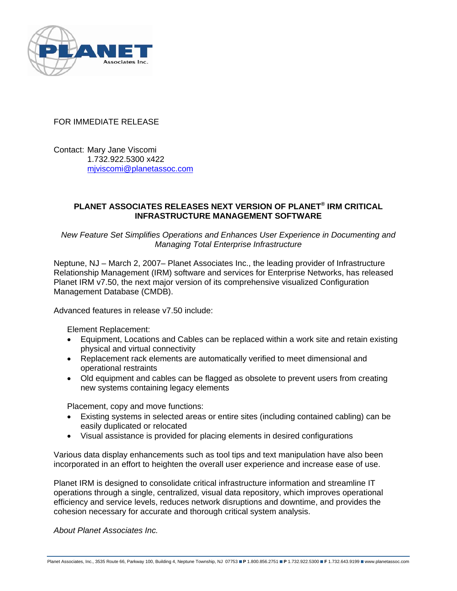

## FOR IMMEDIATE RELEASE

Contact: Mary Jane Viscomi 1.732.922.5300 x422 mjviscomi@planetassoc.com

## **PLANET ASSOCIATES RELEASES NEXT VERSION OF PLANET® IRM CRITICAL INFRASTRUCTURE MANAGEMENT SOFTWARE**

*New Feature Set Simplifies Operations and Enhances User Experience in Documenting and Managing Total Enterprise Infrastructure* 

Neptune, NJ – March 2, 2007– Planet Associates Inc., the leading provider of Infrastructure Relationship Management (IRM) software and services for Enterprise Networks, has released Planet IRM v7.50, the next major version of its comprehensive visualized Configuration Management Database (CMDB).

Advanced features in release v7.50 include:

Element Replacement:

- Equipment, Locations and Cables can be replaced within a work site and retain existing physical and virtual connectivity
- Replacement rack elements are automatically verified to meet dimensional and operational restraints
- Old equipment and cables can be flagged as obsolete to prevent users from creating new systems containing legacy elements

Placement, copy and move functions:

- Existing systems in selected areas or entire sites (including contained cabling) can be easily duplicated or relocated
- Visual assistance is provided for placing elements in desired configurations

Various data display enhancements such as tool tips and text manipulation have also been incorporated in an effort to heighten the overall user experience and increase ease of use.

Planet IRM is designed to consolidate critical infrastructure information and streamline IT operations through a single, centralized, visual data repository, which improves operational efficiency and service levels, reduces network disruptions and downtime, and provides the cohesion necessary for accurate and thorough critical system analysis.

*About Planet Associates Inc.*